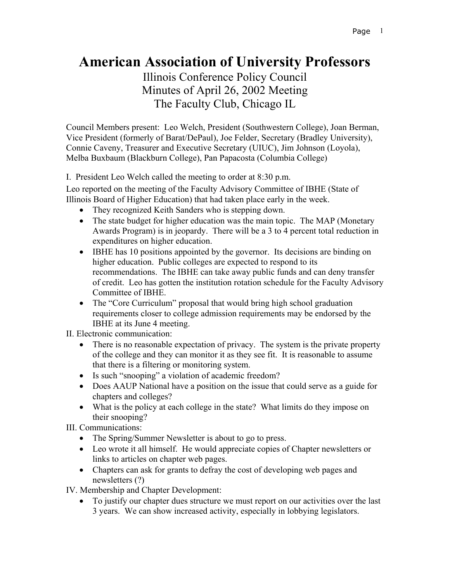## **American Association of University Professors**

Illinois Conference Policy Council Minutes of April 26, 2002 Meeting The Faculty Club, Chicago IL

Council Members present: Leo Welch, President (Southwestern College), Joan Berman, Vice President (formerly of Barat/DePaul), Joe Felder, Secretary (Bradley University), Connie Caveny, Treasurer and Executive Secretary (UIUC), Jim Johnson (Loyola), Melba Buxbaum (Blackburn College), Pan Papacosta (Columbia College)

I. President Leo Welch called the meeting to order at 8:30 p.m.

Leo reported on the meeting of the Faculty Advisory Committee of IBHE (State of Illinois Board of Higher Education) that had taken place early in the week.

- They recognized Keith Sanders who is stepping down.
- The state budget for higher education was the main topic. The MAP (Monetary Awards Program) is in jeopardy. There will be a 3 to 4 percent total reduction in expenditures on higher education.
- IBHE has 10 positions appointed by the governor. Its decisions are binding on higher education. Public colleges are expected to respond to its recommendations. The IBHE can take away public funds and can deny transfer of credit. Leo has gotten the institution rotation schedule for the Faculty Advisory Committee of IBHE.
- The "Core Curriculum" proposal that would bring high school graduation requirements closer to college admission requirements may be endorsed by the IBHE at its June 4 meeting.

II. Electronic communication:

- There is no reasonable expectation of privacy. The system is the private property of the college and they can monitor it as they see fit. It is reasonable to assume that there is a filtering or monitoring system.
- Is such "snooping" a violation of academic freedom?
- Does AAUP National have a position on the issue that could serve as a guide for chapters and colleges?
- What is the policy at each college in the state? What limits do they impose on their snooping?

III. Communications:

- The Spring/Summer Newsletter is about to go to press.
- Leo wrote it all himself. He would appreciate copies of Chapter newsletters or links to articles on chapter web pages.
- Chapters can ask for grants to defray the cost of developing web pages and newsletters (?)

IV. Membership and Chapter Development:

• To justify our chapter dues structure we must report on our activities over the last 3 years. We can show increased activity, especially in lobbying legislators.